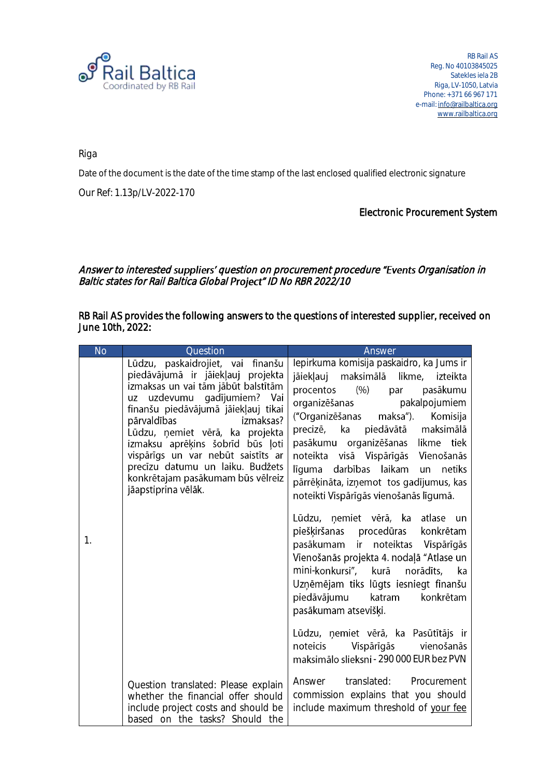

RB Rail AS Reg. No 40103845025 Satekles iela 2B Riga, LV-1050, Latvia Phone: +371 66 967 171 e-mail: [info@railbaltica.org](mailto:info@railbaltica.org) [www.railbaltica.org](http://www.railbaltica.org/)

Riga

Date of the document is the date of the time stamp of the last enclosed qualified electronic signature

Our Ref: 1.13p/LV-2022-170

## Electronic Procurement System

## Answer to interested suppliers' question on procurement procedure "Events Organisation in Baltic states for Rail Baltica Global Project" ID No RBR 2022/10

RB Rail AS provides the following answers to the questions of interested supplier, received on June 10th, 2022:

| <b>No</b> | Question                                                                                                                                                                                                                                                                                                                                                                                                                     | Answer                                                                                                                                                                                                                                                                                                                                                                                                                                                                                                                                                                                                                                                                                                                                   |
|-----------|------------------------------------------------------------------------------------------------------------------------------------------------------------------------------------------------------------------------------------------------------------------------------------------------------------------------------------------------------------------------------------------------------------------------------|------------------------------------------------------------------------------------------------------------------------------------------------------------------------------------------------------------------------------------------------------------------------------------------------------------------------------------------------------------------------------------------------------------------------------------------------------------------------------------------------------------------------------------------------------------------------------------------------------------------------------------------------------------------------------------------------------------------------------------------|
| 1.        | Lūdzu, paskaidrojiet, vai finanšu<br>piedāvājumā ir jāiekļauj projekta<br>izmaksas un vai tām jābūt balstītām<br>uz uzdevumu gadījumiem? Vai<br>finanšu piedāvājumā jāiekļauj tikai<br>pārvaldības<br>izmaksas?<br>Lūdzu, ņemiet vērā, ka projekta<br>izmaksu aprēķins šobrīd būs ļoti<br>vispārīgs un var nebūt saistīts ar<br>precīzu datumu un laiku. Budžets<br>konkrētajam pasākumam būs vēlreiz<br>jāapstiprina vēlāk. | lepirkuma komisija paskaidro, ka Jums ir<br>jāiekļauj maksimālā likme, izteikta<br>procentos (%) par<br>pasākumu<br>organizēšanas pakalpojumiem<br>("Organizēšanas maksa"). Komisija<br>precizē, ka piedāvātā maksimālā<br>pasākumu organizēšanas likme tiek<br>noteikta visā Vispārīgās Vienošanās<br>līguma darbības laikam un<br>netiks<br>pārrēķināta, izņemot tos gadījumus, kas<br>noteikti Vispārīgās vienošanās līgumā.<br>Lūdzu, ņemiet vērā, ka atlase un<br>piešķiršanas procedūras konkrētam<br>pasākumam ir noteiktas Vispārīgās<br>Vienošanās projekta 4. nodaļā "Atlase un<br>mini-konkursi", kurā<br>norādīts,<br>ka<br>Uzņēmējam tiks lūgts iesniegt finanšu<br>piedāvājumu katram<br>konkrētam<br>pasākumam atsevišķi. |
|           |                                                                                                                                                                                                                                                                                                                                                                                                                              | Lūdzu, ņemiet vērā, ka Pasūtītājs ir<br>noteicis Vispārīgās vienošanās<br>maksimālo slieksni - 290 000 EUR bez PVN                                                                                                                                                                                                                                                                                                                                                                                                                                                                                                                                                                                                                       |
|           | Question translated: Please explain<br>whether the financial offer should<br>include project costs and should be<br>based on the tasks? Should the                                                                                                                                                                                                                                                                           | Answer translated: Procurement<br>commission explains that you should<br>include maximum threshold of your fee                                                                                                                                                                                                                                                                                                                                                                                                                                                                                                                                                                                                                           |